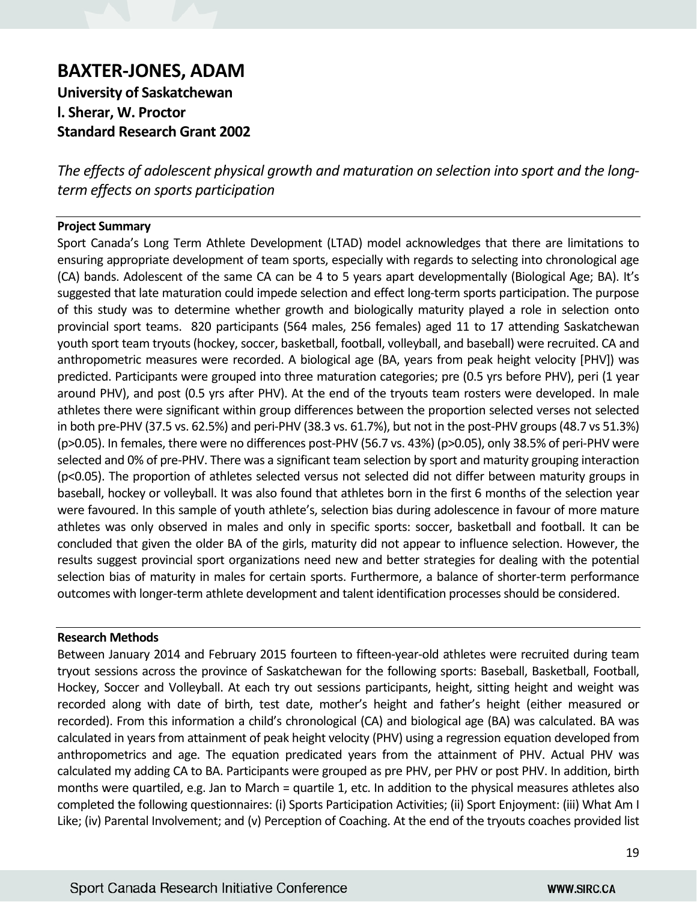# **BAXTER-JONES, ADAM**

**University of Saskatchewan l. Sherar, W. Proctor Standard Research Grant 2002**

*The effects of adolescent physical growth and maturation on selection into sport and the longterm effects on sports participation*

## **Project Summary**

Sport Canada's Long Term Athlete Development (LTAD) model acknowledges that there are limitations to ensuring appropriate development of team sports, especially with regards to selecting into chronological age (CA) bands. Adolescent of the same CA can be 4 to 5 years apart developmentally (Biological Age; BA). It's suggested that late maturation could impede selection and effect long-term sports participation. The purpose of this study was to determine whether growth and biologically maturity played a role in selection onto provincial sport teams. 820 participants (564 males, 256 females) aged 11 to 17 attending Saskatchewan youth sport team tryouts (hockey, soccer, basketball, football, volleyball, and baseball) were recruited. CA and anthropometric measures were recorded. A biological age (BA, years from peak height velocity [PHV]) was predicted. Participants were grouped into three maturation categories; pre (0.5 yrs before PHV), peri (1 year around PHV), and post (0.5 yrs after PHV). At the end of the tryouts team rosters were developed. In male athletes there were significant within group differences between the proportion selected verses not selected in both pre-PHV (37.5 vs. 62.5%) and peri-PHV (38.3 vs. 61.7%), but not in the post-PHV groups (48.7 vs 51.3%) (p>0.05). In females, there were no differences post-PHV (56.7 vs. 43%) (p>0.05), only 38.5% of peri-PHV were selected and 0% of pre-PHV. There was a significant team selection by sport and maturity grouping interaction (p<0.05). The proportion of athletes selected versus not selected did not differ between maturity groups in baseball, hockey or volleyball. It was also found that athletes born in the first 6 months of the selection year were favoured. In this sample of youth athlete's, selection bias during adolescence in favour of more mature athletes was only observed in males and only in specific sports: soccer, basketball and football. It can be concluded that given the older BA of the girls, maturity did not appear to influence selection. However, the results suggest provincial sport organizations need new and better strategies for dealing with the potential selection bias of maturity in males for certain sports. Furthermore, a balance of shorter-term performance outcomes with longer-term athlete development and talent identification processes should be considered.

## **Research Methods**

Between January 2014 and February 2015 fourteen to fifteen-year-old athletes were recruited during team tryout sessions across the province of Saskatchewan for the following sports: Baseball, Basketball, Football, Hockey, Soccer and Volleyball. At each try out sessions participants, height, sitting height and weight was recorded along with date of birth, test date, mother's height and father's height (either measured or recorded). From this information a child's chronological (CA) and biological age (BA) was calculated. BA was calculated in years from attainment of peak height velocity (PHV) using a regression equation developed from anthropometrics and age. The equation predicated years from the attainment of PHV. Actual PHV was calculated my adding CA to BA. Participants were grouped as pre PHV, per PHV or post PHV. In addition, birth months were quartiled, e.g. Jan to March = quartile 1, etc. In addition to the physical measures athletes also completed the following questionnaires: (i) Sports Participation Activities; (ii) Sport Enjoyment: (iii) What Am I Like; (iv) Parental Involvement; and (v) Perception of Coaching. At the end of the tryouts coaches provided list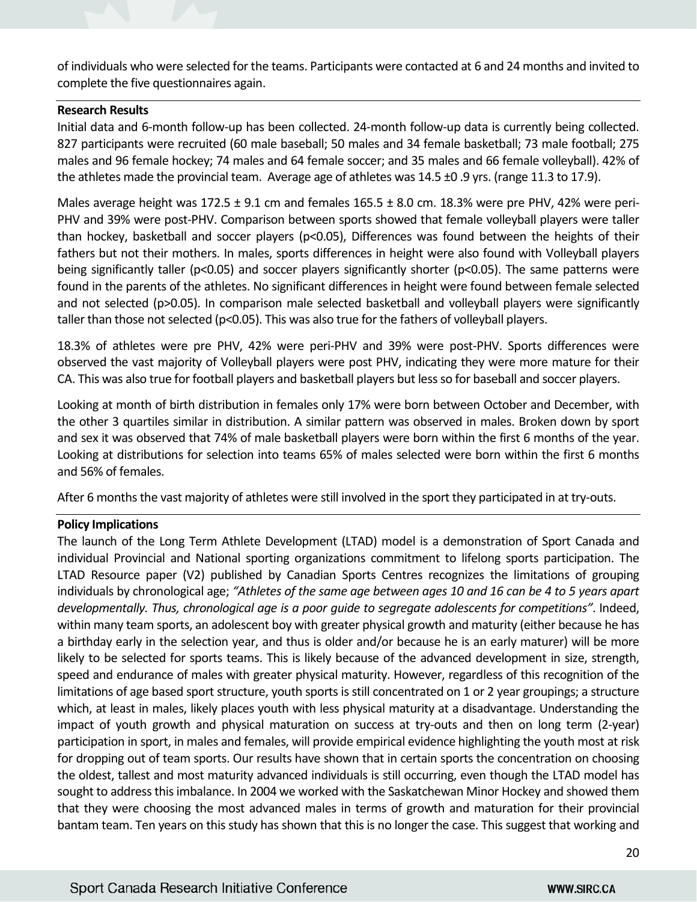of individuals who were selected for the teams. Participants were contacted at 6 and 24 months and invited to complete the five questionnaires again.

## **Research Results**

Initial data and 6-month follow-up has been collected. 24-month follow-up data is currently being collected. 827 participants were recruited (60 male baseball; 50 males and 34 female basketball; 73 male football; 275 males and 96 female hockey; 74 males and 64 female soccer; and 35 males and 66 female volleyball). 42% of the athletes made the provincial team. Average age of athletes was 14.5 ±0 .9 yrs. (range 11.3 to 17.9).

Males average height was  $172.5 \pm 9.1$  cm and females  $165.5 \pm 8.0$  cm.  $18.3\%$  were pre PHV, 42% were peri-PHV and 39% were post-PHV. Comparison between sports showed that female volleyball players were taller than hockey, basketball and soccer players ( $p<0.05$ ), Differences was found between the heights of their fathers but not their mothers. In males, sports differences in height were also found with Volleyball players being significantly taller (p<0.05) and soccer players significantly shorter (p<0.05). The same patterns were found in the parents of the athletes. No significant differences in height were found between female selected and not selected (p>0.05). In comparison male selected basketball and volleyball players were significantly taller than those not selected (p<0.05). This was also true for the fathers of volleyball players.

18.3% of athletes were pre PHV, 42% were peri-PHV and 39% were post-PHV. Sports differences were observed the vast majority of Volleyball players were post PHV, indicating they were more mature for their CA. This was also true for football players and basketball players but less so for baseball and soccer players.

Looking at month of birth distribution in females only 17% were born between October and December, with the other 3 quartiles similar in distribution. A similar pattern was observed in males. Broken down by sport and sex it was observed that 74% of male basketball players were born within the first 6 months of the year. Looking at distributions for selection into teams 65% of males selected were born within the first 6 months and 56% of females.

After 6 months the vast majority of athletes were still involved in the sport they participated in at try-outs.

## **Policy Implications**

The launch of the Long Term Athlete Development (LTAD) model is a demonstration of Sport Canada and individual Provincial and National sporting organizations commitment to lifelong sports participation. The LTAD Resource paper (V2) published by Canadian Sports Centres recognizes the limitations of grouping individuals by chronological age; *"Athletes of the same age between ages 10 and 16 can be 4 to 5 years apart developmentally. Thus, chronological age is a poor guide to segregate adolescents for competitions"*. Indeed, within many team sports, an adolescent boy with greater physical growth and maturity (either because he has a birthday early in the selection year, and thus is older and/or because he is an early maturer) will be more likely to be selected for sports teams. This is likely because of the advanced development in size, strength, speed and endurance of males with greater physical maturity. However, regardless of this recognition of the limitations of age based sport structure, youth sports is still concentrated on 1 or 2 year groupings; a structure which, at least in males, likely places youth with less physical maturity at a disadvantage. Understanding the impact of youth growth and physical maturation on success at try-outs and then on long term (2-year) participation in sport, in males and females, will provide empirical evidence highlighting the youth most at risk for dropping out of team sports. Our results have shown that in certain sports the concentration on choosing the oldest, tallest and most maturity advanced individuals is still occurring, even though the LTAD model has sought to address this imbalance. In 2004 we worked with the Saskatchewan Minor Hockey and showed them that they were choosing the most advanced males in terms of growth and maturation for their provincial bantam team. Ten years on this study has shown that this is no longer the case. This suggest that working and